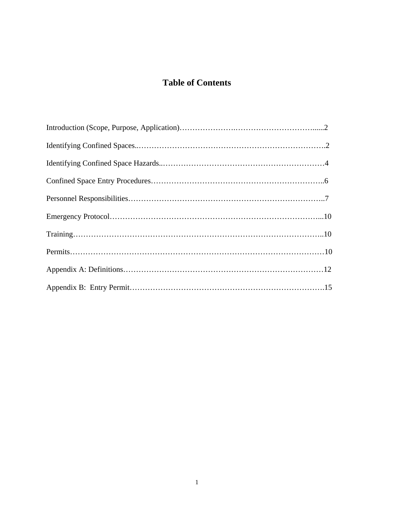# **Table of Contents**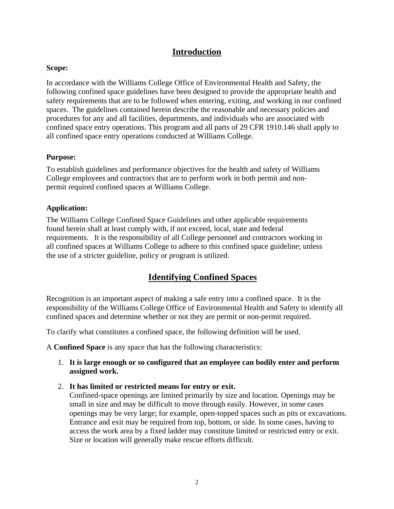## **Introduction**

### **Scope:**

In accordance with the Williams College Office of Environmental Health and Safety, the following confined space guidelines have been designed to provide the appropriate health and safety requirements that are to be followed when entering, exiting, and working in our confined spaces. The guidelines contained herein describe the reasonable and necessary policies and procedures for any and all facilities, departments, and individuals who are associated with confined space entry operations. This program and all parts of 29 CFR 1910.146 shall apply to all confined space entry operations conducted at Williams College.

### **Purpose:**

To establish guidelines and performance objectives for the health and safety of Williams College employees and contractors that are to perform work in both permit and nonpermit required confined spaces at Williams College.

### **Application:**

The Williams College Confined Space Guidelines and other applicable requirements found herein shall at least comply with, if not exceed, local, state and federal requirements. It is the responsibility of all College personnel and contractors working in all confined spaces at Williams College to adhere to this confined space guideline; unless the use of a stricter guideline, policy or program is utilized.

# **Identifying Confined Spaces**

Recognition is an important aspect of making a safe entry into a confined space. It is the responsibility of the Williams College Office of Environmental Health and Safety to identify all confined spaces and determine whether or not they are permit or non-permit required.

To clarify what constitutes a confined space, the following definition will be used.

A **Confined Space** is any space that has the following characteristics:

- 1. **It is large enough or so configured that an employee can bodily enter and perform assigned work.**
- 2. **It has limited or restricted means for entry or exit.**

Confined-space openings are limited primarily by size and location. Openings may be small in size and may be difficult to move through easily. However, in some cases openings may be very large; for example, open-topped spaces such as pits or excavations. Entrance and exit may be required from top, bottom, or side. In some cases, having to access the work area by a fixed ladder may constitute limited or restricted entry or exit. Size or location will generally make rescue efforts difficult.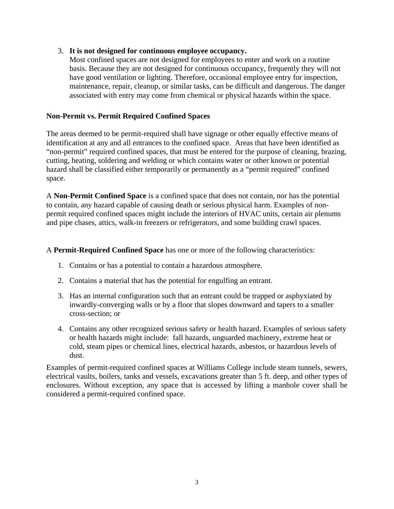### 3. **It is not designed for continuous employee occupancy.**

Most confined spaces are not designed for employees to enter and work on a routine basis. Because they are not designed for continuous occupancy, frequently they will not have good ventilation or lighting. Therefore, occasional employee entry for inspection, maintenance, repair, cleanup, or similar tasks, can be difficult and dangerous. The danger associated with entry may come from chemical or physical hazards within the space.

## **Non-Permit vs. Permit Required Confined Spaces**

The areas deemed to be permit-required shall have signage or other equally effective means of identification at any and all entrances to the confined space. Areas that have been identified as "non-permit" required confined spaces, that must be entered for the purpose of cleaning, brazing, cutting, heating, soldering and welding or which contains water or other known or potential hazard shall be classified either temporarily or permanently as a "permit required" confined space.

A **Non-Permit Confined Space** is a confined space that does not contain, nor has the potential to contain, any hazard capable of causing death or serious physical harm. Examples of nonpermit required confined spaces might include the interiors of HVAC units, certain air plenums and pipe chases, attics, walk-in freezers or refrigerators, and some building crawl spaces.

### A **Permit-Required Confined Space** has one or more of the following characteristics:

- 1. Contains or has a potential to contain a hazardous atmosphere.
- 2. Contains a material that has the potential for engulfing an entrant.
- 3. Has an internal configuration such that an entrant could be trapped or asphyxiated by inwardly-converging walls or by a floor that slopes downward and tapers to a smaller cross-section; or
- 4. Contains any other recognized serious safety or health hazard. Examples of serious safety or health hazards might include: fall hazards, unguarded machinery, extreme heat or cold, steam pipes or chemical lines, electrical hazards, asbestos, or hazardous levels of dust.

Examples of permit-required confined spaces at Williams College include steam tunnels, sewers, electrical vaults, boilers, tanks and vessels, excavations greater than 5 ft. deep, and other types of enclosures. Without exception, any space that is accessed by lifting a manhole cover shall be considered a permit-required confined space.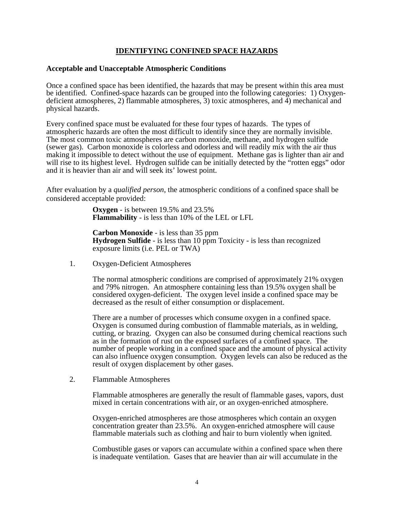## **IDENTIFYING CONFINED SPACE HAZARDS**

#### **Acceptable and Unacceptable Atmospheric Conditions**

Once a confined space has been identified, the hazards that may be present within this area must be identified. Confined-space hazards can be grouped into the following categories: 1) Oxygendeficient atmospheres, 2) flammable atmospheres, 3) toxic atmospheres, and  $\overline{4}$ ) mechanical and physical hazards.

Every confined space must be evaluated for these four types of hazards. The types of atmospheric hazards are often the most difficult to identify since they are normally invisible. The most common toxic atmospheres are carbon monoxide, methane, and hydrogen sulfide (sewer gas). Carbon monoxide is colorless and odorless and will readily mix with the air thus making it impossible to detect without the use of equipment. Methane gas is lighter than air and will rise to its highest level. Hydrogen sulfide can be initially detected by the "rotten eggs" odor and it is heavier than air and will seek its' lowest point.

After evaluation by a *qualified person*, the atmospheric conditions of a confined space shall be considered acceptable provided:

> **Oxygen** - is between 19.5% and 23.5% **Flammability** - is less than 10% of the LEL or LFL

**Carbon Monoxide** - is less than 35 ppm **Hydrogen Sulfide** - is less than 10 ppm Toxicity - is less than recognized exposure limits (i.e. PEL or TWA)

1. Oxygen-Deficient Atmospheres

The normal atmospheric conditions are comprised of approximately 21% oxygen and 79% nitrogen. An atmosphere containing less than 19.5% oxygen shall be considered oxygen-deficient. The oxygen level inside a confined space may be decreased as the result of either consumption or displacement.

There are a number of processes which consume oxygen in a confined space. Oxygen is consumed during combustion of flammable materials, as in welding, cutting, or brazing. Oxygen can also be consumed during chemical reactions such as in the formation of rust on the exposed surfaces of a confined space. The number of people working in a confined space and the amount of physical activity can also influence oxygen consumption. Oxygen levels can also be reduced as the result of oxygen displacement by other gases.

2. Flammable Atmospheres

Flammable atmospheres are generally the result of flammable gases, vapors, dust mixed in certain concentrations with air, or an oxygen-enriched atmosphere.

Oxygen-enriched atmospheres are those atmospheres which contain an oxygen concentration greater than 23.5%. An oxygen-enriched atmosphere will cause flammable materials such as clothing and hair to burn violently when ignited.

Combustible gases or vapors can accumulate within a confined space when there is inadequate ventilation. Gases that are heavier than air will accumulate in the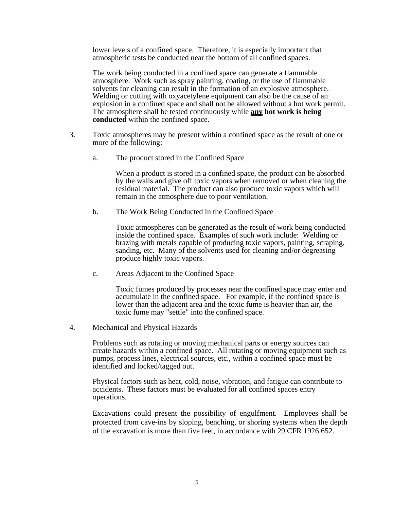lower levels of a confined space. Therefore, it is especially important that atmospheric tests be conducted near the bottom of all confined spaces.

The work being conducted in a confined space can generate a flammable atmosphere. Work such as spray painting, coating, or the use of flammable solvents for cleaning can result in the formation of an explosive atmosphere. Welding or cutting with oxyacetylene equipment can also be the cause of an explosion in a confined space and shall not be allowed without a hot work permit. The atmosphere shall be tested continuously while **any hot work is being conducted** within the confined space.

- 3. Toxic atmospheres may be present within a confined space as the result of one or more of the following:
	- a. The product stored in the Confined Space

 When a product is stored in a confined space, the product can be absorbed by the walls and give off toxic vapors when removed or when cleaning the residual material. The product can also produce toxic vapors which will remain in the atmosphere due to poor ventilation.

b. The Work Being Conducted in the Confined Space

 Toxic atmospheres can be generated as the result of work being conducted inside the confined space. Examples of such work include: Welding or brazing with metals capable of producing toxic vapors, painting, scraping, sanding, etc. Many of the solvents used for cleaning and/or degreasing produce highly toxic vapors.

c. Areas Adjacent to the Confined Space

 Toxic fumes produced by processes near the confined space may enter and accumulate in the confined space. For example, if the confined space is lower than the adjacent area and the toxic fume is heavier than air, the toxic fume may "settle" into the confined space.

4. Mechanical and Physical Hazards

Problems such as rotating or moving mechanical parts or energy sources can create hazards within a confined space. All rotating or moving equipment such as pumps, process lines, electrical sources, etc., within a confined space must be identified and locked/tagged out.

Physical factors such as heat, cold, noise, vibration, and fatigue can contribute to accidents. These factors must be evaluated for all confined spaces entry operations.

Excavations could present the possibility of engulfment. Employees shall be protected from cave-ins by sloping, benching, or shoring systems when the depth of the excavation is more than five feet, in accordance with 29 CFR 1926.652.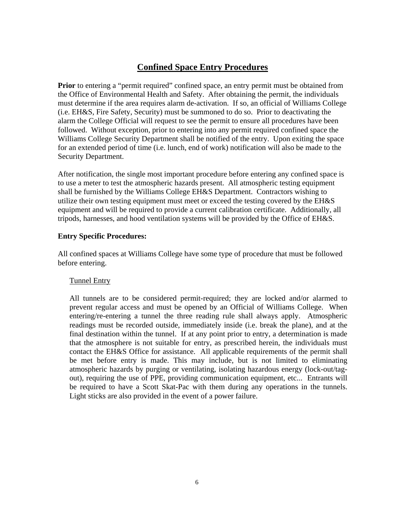## **Confined Space Entry Procedures**

**Prior** to entering a "permit required" confined space, an entry permit must be obtained from the Office of Environmental Health and Safety. After obtaining the permit, the individuals must determine if the area requires alarm de-activation. If so, an official of Williams College (i.e. EH&S, Fire Safety, Security) must be summoned to do so. Prior to deactivating the alarm the College Official will request to see the permit to ensure all procedures have been followed. Without exception, prior to entering into any permit required confined space the Williams College Security Department shall be notified of the entry. Upon exiting the space for an extended period of time (i.e. lunch, end of work) notification will also be made to the Security Department.

After notification, the single most important procedure before entering any confined space is to use a meter to test the atmospheric hazards present. All atmospheric testing equipment shall be furnished by the Williams College EH&S Department. Contractors wishing to utilize their own testing equipment must meet or exceed the testing covered by the EH&S equipment and will be required to provide a current calibration certificate. Additionally, all tripods, harnesses, and hood ventilation systems will be provided by the Office of EH&S.

## **Entry Specific Procedures:**

All confined spaces at Williams College have some type of procedure that must be followed before entering.

#### Tunnel Entry

All tunnels are to be considered permit-required; they are locked and/or alarmed to prevent regular access and must be opened by an Official of Williams College. When entering/re-entering a tunnel the three reading rule shall always apply. Atmospheric readings must be recorded outside, immediately inside (i.e. break the plane), and at the final destination within the tunnel. If at any point prior to entry, a determination is made that the atmosphere is not suitable for entry, as prescribed herein, the individuals must contact the EH&S Office for assistance. All applicable requirements of the permit shall be met before entry is made. This may include, but is not limited to eliminating atmospheric hazards by purging or ventilating, isolating hazardous energy (lock-out/tagout), requiring the use of PPE, providing communication equipment, etc... Entrants will be required to have a Scott Skat-Pac with them during any operations in the tunnels. Light sticks are also provided in the event of a power failure.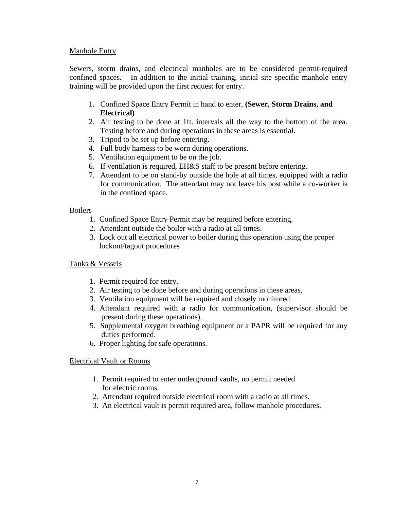## Manhole Entry

Sewers, storm drains, and electrical manholes are to be considered permit-required confined spaces. In addition to the initial training, initial site specific manhole entry training will be provided upon the first request for entry.

- 1. Confined Space Entry Permit in hand to enter, **(Sewer, Storm Drains, and Electrical)**
- 2. Air testing to be done at 1ft. intervals all the way to the bottom of the area. Testing before and during operations in these areas is essential.
- 3. Tripod to be set up before entering.
- 4. Full body harness to be worn during operations.
- 5. Ventilation equipment to be on the job.
- 6. If ventilation is required, EH&S staff to be present before entering.
- 7. Attendant to be on stand-by outside the hole at all times, equipped with a radio for communication. The attendant may not leave his post while a co-worker is in the confined space.

#### Boilers

- 1. Confined Space Entry Permit may be required before entering.
- 2. Attendant outside the boiler with a radio at all times.
- 3. Lock out all electrical power to boiler during this operation using the proper lockout/tagout procedures

#### Tanks & Vessels

- 1. Permit required for entry.
- 2. Air testing to be done before and during operations in these areas.
- 3. Ventilation equipment will be required and closely monitored.
- 4. Attendant required with a radio for communication, (supervisor should be present during these operations).
- 5. Supplemental oxygen breathing equipment or a PAPR will be required for any duties performed.
- 6. Proper lighting for safe operations.

#### Electrical Vault or Rooms

- 1. Permit required to enter underground vaults, no permit needed for electric rooms.
- 2. Attendant required outside electrical room with a radio at all times.
- 3. An electrical vault is permit required area, follow manhole procedures.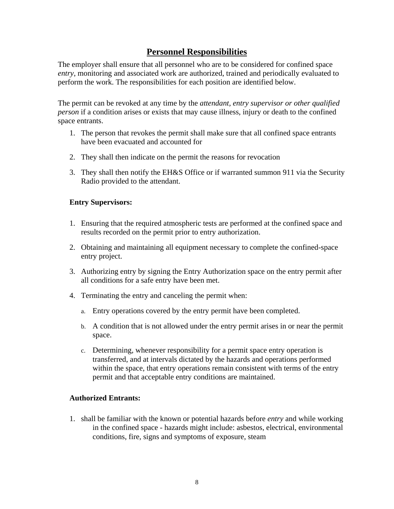## **Personnel Responsibilities**

The employer shall ensure that all personnel who are to be considered for confined space *entry*, monitoring and associated work are authorized, trained and periodically evaluated to perform the work. The responsibilities for each position are identified below.

The permit can be revoked at any time by the *attendant, entry supervisor or other qualified person* if a condition arises or exists that may cause illness, injury or death to the confined space entrants.

- 1. The person that revokes the permit shall make sure that all confined space entrants have been evacuated and accounted for
- 2. They shall then indicate on the permit the reasons for revocation
- 3. They shall then notify the EH&S Office or if warranted summon 911 via the Security Radio provided to the attendant.

#### **Entry Supervisors:**

- 1. Ensuring that the required atmospheric tests are performed at the confined space and results recorded on the permit prior to entry authorization.
- 2. Obtaining and maintaining all equipment necessary to complete the confined-space entry project.
- 3. Authorizing entry by signing the Entry Authorization space on the entry permit after all conditions for a safe entry have been met.
- 4. Terminating the entry and canceling the permit when:
	- a. Entry operations covered by the entry permit have been completed.
	- b. A condition that is not allowed under the entry permit arises in or near the permit space.
	- c. Determining, whenever responsibility for a permit space entry operation is transferred, and at intervals dictated by the hazards and operations performed within the space, that entry operations remain consistent with terms of the entry permit and that acceptable entry conditions are maintained.

#### **Authorized Entrants:**

1. shall be familiar with the known or potential hazards before *entry* and while working in the confined space - hazards might include: asbestos, electrical, environmental conditions, fire, signs and symptoms of exposure, steam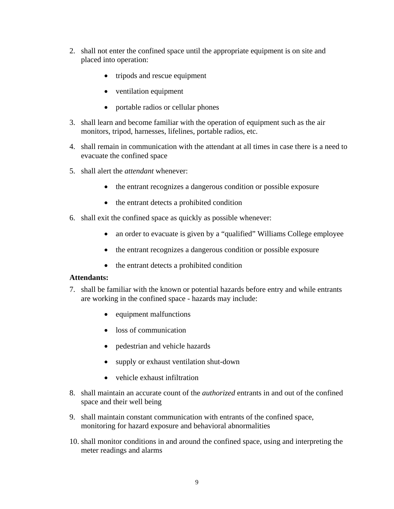- 2. shall not enter the confined space until the appropriate equipment is on site and placed into operation:
	- tripods and rescue equipment
	- ventilation equipment
	- portable radios or cellular phones
- 3. shall learn and become familiar with the operation of equipment such as the air monitors, tripod, harnesses, lifelines, portable radios, etc.
- 4. shall remain in communication with the attendant at all times in case there is a need to evacuate the confined space
- 5. shall alert the *attendant* whenever:
	- the entrant recognizes a dangerous condition or possible exposure
	- the entrant detects a prohibited condition
- 6. shall exit the confined space as quickly as possible whenever:
	- an order to evacuate is given by a "qualified" Williams College employee
	- the entrant recognizes a dangerous condition or possible exposure
	- the entrant detects a prohibited condition

#### **Attendants:**

- 7. shall be familiar with the known or potential hazards before entry and while entrants are working in the confined space - hazards may include:
	- equipment malfunctions
	- loss of communication
	- pedestrian and vehicle hazards
	- supply or exhaust ventilation shut-down
	- vehicle exhaust infiltration
- 8. shall maintain an accurate count of the *authorized* entrants in and out of the confined space and their well being
- 9. shall maintain constant communication with entrants of the confined space, monitoring for hazard exposure and behavioral abnormalities
- 10. shall monitor conditions in and around the confined space, using and interpreting the meter readings and alarms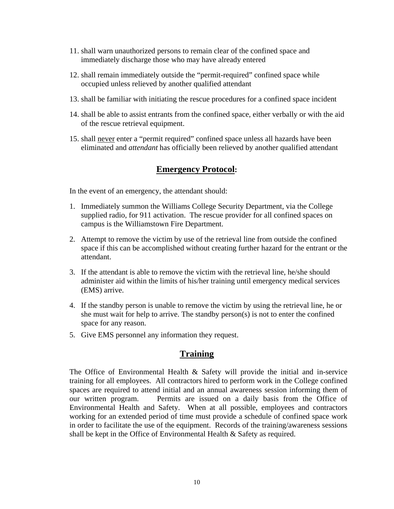- 11. shall warn unauthorized persons to remain clear of the confined space and immediately discharge those who may have already entered
- 12. shall remain immediately outside the "permit-required" confined space while occupied unless relieved by another qualified attendant
- 13. shall be familiar with initiating the rescue procedures for a confined space incident
- 14. shall be able to assist entrants from the confined space, either verbally or with the aid of the rescue retrieval equipment.
- 15. shall never enter a "permit required" confined space unless all hazards have been eliminated and *attendant* has officially been relieved by another qualified attendant

## **Emergency Protocol:**

In the event of an emergency, the attendant should:

- 1. Immediately summon the Williams College Security Department, via the College supplied radio, for 911 activation. The rescue provider for all confined spaces on campus is the Williamstown Fire Department.
- 2. Attempt to remove the victim by use of the retrieval line from outside the confined space if this can be accomplished without creating further hazard for the entrant or the attendant.
- 3. If the attendant is able to remove the victim with the retrieval line, he/she should administer aid within the limits of his/her training until emergency medical services (EMS) arrive.
- 4. If the standby person is unable to remove the victim by using the retrieval line, he or she must wait for help to arrive. The standby person(s) is not to enter the confined space for any reason.
- 5. Give EMS personnel any information they request.

## **Training**

The Office of Environmental Health & Safety will provide the initial and in-service training for all employees. All contractors hired to perform work in the College confined spaces are required to attend initial and an annual awareness session informing them of our written program. Permits are issued on a daily basis from the Office of Environmental Health and Safety. When at all possible, employees and contractors working for an extended period of time must provide a schedule of confined space work in order to facilitate the use of the equipment. Records of the training/awareness sessions shall be kept in the Office of Environmental Health & Safety as required.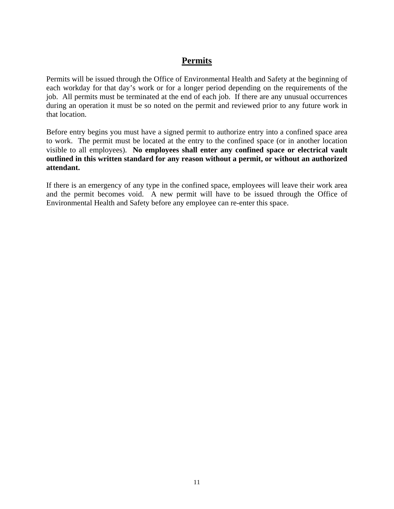## **Permits**

Permits will be issued through the Office of Environmental Health and Safety at the beginning of each workday for that day's work or for a longer period depending on the requirements of the job. All permits must be terminated at the end of each job. If there are any unusual occurrences during an operation it must be so noted on the permit and reviewed prior to any future work in that location.

Before entry begins you must have a signed permit to authorize entry into a confined space area to work. The permit must be located at the entry to the confined space (or in another location visible to all employees). **No employees shall enter any confined space or electrical vault outlined in this written standard for any reason without a permit, or without an authorized attendant.** 

If there is an emergency of any type in the confined space, employees will leave their work area and the permit becomes void. A new permit will have to be issued through the Office of Environmental Health and Safety before any employee can re-enter this space.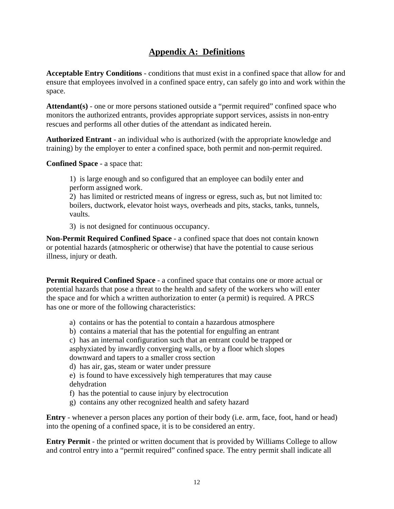# **Appendix A: Definitions**

**Acceptable Entry Conditions** - conditions that must exist in a confined space that allow for and ensure that employees involved in a confined space entry, can safely go into and work within the space.

**Attendant(s)** - one or more persons stationed outside a "permit required" confined space who monitors the authorized entrants, provides appropriate support services, assists in non-entry rescues and performs all other duties of the attendant as indicated herein.

**Authorized Entrant** - an individual who is authorized (with the appropriate knowledge and training) by the employer to enter a confined space, both permit and non-permit required.

**Confined Space** - a space that:

1) is large enough and so configured that an employee can bodily enter and perform assigned work.

2) has limited or restricted means of ingress or egress, such as, but not limited to: boilers, ductwork, elevator hoist ways, overheads and pits, stacks, tanks, tunnels, vaults.

3) is not designed for continuous occupancy.

**Non-Permit Required Confined Space** - a confined space that does not contain known or potential hazards (atmospheric or otherwise) that have the potential to cause serious illness, injury or death.

**Permit Required Confined Space** - a confined space that contains one or more actual or potential hazards that pose a threat to the health and safety of the workers who will enter the space and for which a written authorization to enter (a permit) is required. A PRCS has one or more of the following characteristics:

- a) contains or has the potential to contain a hazardous atmosphere
- b) contains a material that has the potential for engulfing an entrant
- c) has an internal configuration such that an entrant could be trapped or asphyxiated by inwardly converging walls, or by a floor which slopes

downward and tapers to a smaller cross section

d) has air, gas, steam or water under pressure

e) is found to have excessively high temperatures that may cause dehydration

- f) has the potential to cause injury by electrocution
- g) contains any other recognized health and safety hazard

**Entry** - whenever a person places any portion of their body (i.e. arm, face, foot, hand or head) into the opening of a confined space, it is to be considered an entry.

**Entry Permit** - the printed or written document that is provided by Williams College to allow and control entry into a "permit required" confined space. The entry permit shall indicate all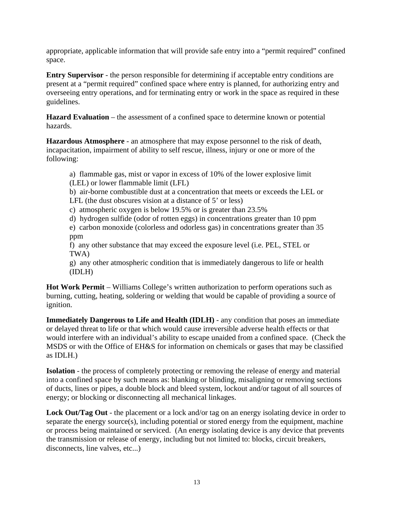appropriate, applicable information that will provide safe entry into a "permit required" confined space.

**Entry Supervisor** - the person responsible for determining if acceptable entry conditions are present at a "permit required" confined space where entry is planned, for authorizing entry and overseeing entry operations, and for terminating entry or work in the space as required in these guidelines.

**Hazard Evaluation** – the assessment of a confined space to determine known or potential hazards.

**Hazardous Atmosphere** - an atmosphere that may expose personnel to the risk of death, incapacitation, impairment of ability to self rescue, illness, injury or one or more of the following:

a) flammable gas, mist or vapor in excess of 10% of the lower explosive limit (LEL) or lower flammable limit (LFL)

b) air-borne combustible dust at a concentration that meets or exceeds the LEL or LFL (the dust obscures vision at a distance of 5' or less)

c) atmospheric oxygen is below 19.5% or is greater than 23.5%

d) hydrogen sulfide (odor of rotten eggs) in concentrations greater than 10 ppm

e) carbon monoxide (colorless and odorless gas) in concentrations greater than 35 ppm

f) any other substance that may exceed the exposure level (i.e. PEL, STEL or TWA)

g) any other atmospheric condition that is immediately dangerous to life or health (IDLH)

**Hot Work Permit** – Williams College's written authorization to perform operations such as burning, cutting, heating, soldering or welding that would be capable of providing a source of ignition.

**Immediately Dangerous to Life and Health (IDLH)** - any condition that poses an immediate or delayed threat to life or that which would cause irreversible adverse health effects or that would interfere with an individual's ability to escape unaided from a confined space. (Check the MSDS or with the Office of EH&S for information on chemicals or gases that may be classified as IDLH.)

**Isolation** - the process of completely protecting or removing the release of energy and material into a confined space by such means as: blanking or blinding, misaligning or removing sections of ducts, lines or pipes, a double block and bleed system, lockout and/or tagout of all sources of energy; or blocking or disconnecting all mechanical linkages.

**Lock Out/Tag Out** - the placement or a lock and/or tag on an energy isolating device in order to separate the energy source(s), including potential or stored energy from the equipment, machine or process being maintained or serviced. (An energy isolating device is any device that prevents the transmission or release of energy, including but not limited to: blocks, circuit breakers, disconnects, line valves, etc...)